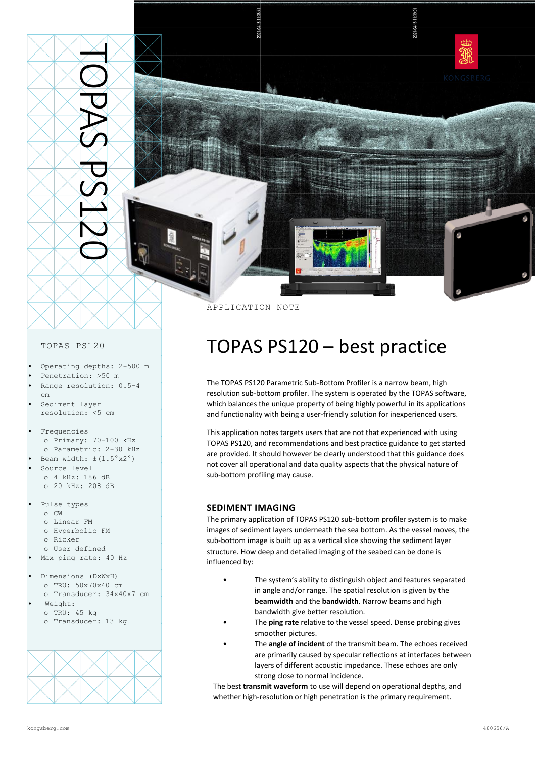

APPLICATION NOTE

### TOPAS PS120

- Operating depths: 2-500 m
- Penetration: >50 m
- Range resolution: 0.5-4 cm
- Sediment layer resolution: <5 cm
- Frequencies o Primary: 70–100 kHz o Parametric: 2-30 kHz
- Beam width:  $\pm (1.5^\circ \text{x2}^\circ)$
- Source level o 4 kHz: 186 dB
- o 20 kHz: 208 dB
- Pulse types o CW
	- o Linear FM
	- o Hyperbolic FM
	- o Ricker
	- o User defined
- Max ping rate: 40 Hz
- Dimensions (DxWxH) o TRU: 50x70x40 cm o Transducer: 34x40x7 cm
- Weight: o TRU: 45 kg o Transducer: 13 kg



# TOPAS PS120 – best practice

The TOPAS PS120 Parametric Sub-Bottom Profiler is a narrow beam, high resolution sub-bottom profiler. The system is operated by the TOPAS software, which balances the unique property of being highly powerful in its applications and functionality with being a user-friendly solution for inexperienced users.

This application notes targets users that are not that experienced with using TOPAS PS120, and recommendations and best practice guidance to get started are provided. It should however be clearly understood that this guidance does not cover all operational and data quality aspects that the physical nature of sub-bottom profiling may cause.

### **SEDIMENT IMAGING**

The primary application of TOPAS PS120 sub-bottom profiler system is to make images of sediment layers underneath the sea bottom. As the vessel moves, the sub-bottom image is built up as a vertical slice showing the sediment layer structure. How deep and detailed imaging of the seabed can be done is influenced by:

- The system's ability to distinguish object and features separated in angle and/or range. The spatial resolution is given by the **beamwidth** and the **bandwidth**. Narrow beams and high bandwidth give better resolution.
- The **ping rate** relative to the vessel speed. Dense probing gives smoother pictures.
- The **angle of incident** of the transmit beam. The echoes received are primarily caused by specular reflections at interfaces between layers of different acoustic impedance. These echoes are only strong close to normal incidence.

The best **transmit waveform** to use will depend on operational depths, and whether high-resolution or high penetration is the primary requirement.